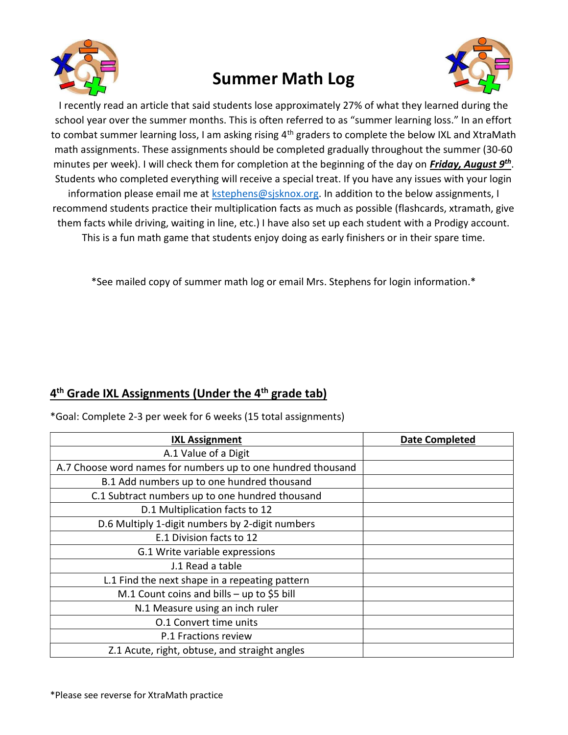

## Summer Math Log



I recently read an article that said students lose approximately 27% of what they learned during the school year over the summer months. This is often referred to as "summer learning loss." In an effort to combat summer learning loss, I am asking rising 4<sup>th</sup> graders to complete the below IXL and XtraMath math assignments. These assignments should be completed gradually throughout the summer (30-60 minutes per week). I will check them for completion at the beginning of the day on *Friday, August 9<sup>th</sup>*. Students who completed everything will receive a special treat. If you have any issues with your login information please email me at kstephens@sjsknox.org. In addition to the below assignments, I recommend students practice their multiplication facts as much as possible (flashcards, xtramath, give them facts while driving, waiting in line, etc.) I have also set up each student with a Prodigy account. This is a fun math game that students enjoy doing as early finishers or in their spare time.

\*See mailed copy of summer math log or email Mrs. Stephens for login information.\*

## 4<sup>th</sup> Grade IXL Assignments (Under the 4<sup>th</sup> grade tab)

\*Goal: Complete 2-3 per week for 6 weeks (15 total assignments)

| <b>IXL Assignment</b>                                        | Date Completed |
|--------------------------------------------------------------|----------------|
| A.1 Value of a Digit                                         |                |
| A.7 Choose word names for numbers up to one hundred thousand |                |
| B.1 Add numbers up to one hundred thousand                   |                |
| C.1 Subtract numbers up to one hundred thousand              |                |
| D.1 Multiplication facts to 12                               |                |
| D.6 Multiply 1-digit numbers by 2-digit numbers              |                |
| E.1 Division facts to 12                                     |                |
| G.1 Write variable expressions                               |                |
| J.1 Read a table                                             |                |
| L.1 Find the next shape in a repeating pattern               |                |
| M.1 Count coins and bills - up to \$5 bill                   |                |
| N.1 Measure using an inch ruler                              |                |
| <b>0.1 Convert time units</b>                                |                |
| P.1 Fractions review                                         |                |
| Z.1 Acute, right, obtuse, and straight angles                |                |